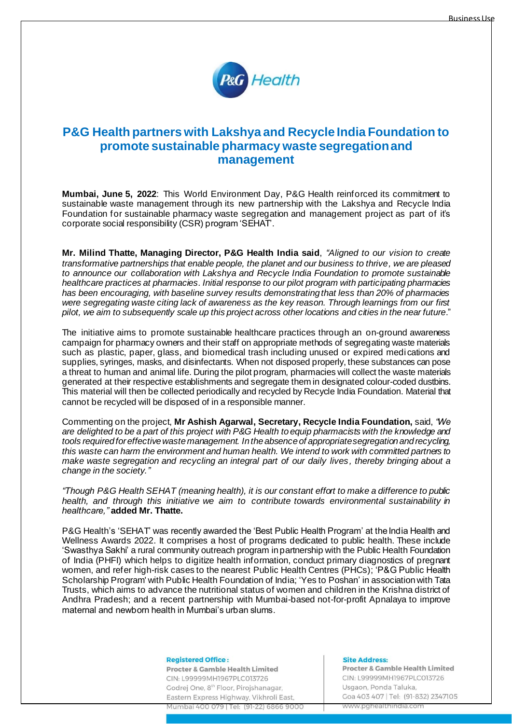

# **P&G Health partners with Lakshya and Recycle India Foundation to promote sustainable pharmacy waste segregation and management**

**Mumbai, June 5, 2022**: This World Environment Day, P&G Health reinforced its commitment to sustainable waste management through its new partnership with the Lakshya and Recycle India Foundation for sustainable pharmacy waste segregation and management project as part of it's corporate social responsibility (CSR) program 'SEHAT'.

**Mr. Milind Thatte, Managing Director, P&G Health India said**, *"Aligned to our vision to create transformative partnerships that enable people, the planet and our business to thrive, we are pleased to announce our collaboration with Lakshya and Recycle India Foundation to promote sustainable healthcare practices at pharmacies. Initial response to our pilot program with participating pharmacies has been encouraging, with baseline survey results demonstrating that less than 20% of pharmacies were segregating waste citing lack of awareness as the key reason. Through learnings from our first pilot, we aim to subsequently scale up this project across other locations and cities in the near future*."

The initiative aims to promote sustainable healthcare practices through an on-ground awareness campaign for pharmacy owners and their staff on appropriate methods of segregating waste materials such as plastic, paper, glass, and biomedical trash including unused or expired medications and supplies, syringes, masks, and disinfectants. When not disposed properly, these substances can pose a threat to human and animal life. During the pilot program, pharmacies will collect the waste materials generated at their respective establishments and segregate them in designated colour-coded dustbins. This material will then be collected periodically and recycled by Recycle India Foundation. Material that cannot be recycled will be disposed of in a responsible manner.

Commenting on the project, **Mr Ashish Agarwal, Secretary, Recycle India Foundation,** said, *"We are delighted to be a part of this project with P&G Health toequip pharmacists with the knowledge and tools required for effective waste management. In the absence of appropriate segregation and recycling, this waste can harm the environment and human health. We intend to work with committed partners to make waste segregation and recycling an integral part of our daily lives , thereby bringing about a change in the society."*

*"Though P&G Health SEHAT (meaning health), it is our constant effort to make a difference to public health, and through this initiative we aim to contribute towards environmental sustainability in healthcare,"* **added Mr. Thatte.**

P&G Health's 'SEHAT' was recently awarded the 'Best Public Health Program' at the India Health and Wellness Awards 2022. It comprises a host of programs dedicated to public health. These include 'Swasthya Sakhi' a rural community outreach program in partnership with the Public Health Foundation of India (PHFI) which helps to digitize health information, conduct primary diagnostics of pregnant women, and refer high-risk cases to the nearest Public Health Centres (PHCs); 'P&G Public Health Scholarship Program' with Public Health Foundation of India; 'Yes to Poshan' in association with Tata Trusts, which aims to advance the nutritional status of women and children in the Krishna district of Andhra Pradesh; and a recent partnership with Mumbai-based not-for-profit Apnalaya to improve maternal and newborn health in Mumbai's urban slums.

**Registered Office:** 

**Procter & Gamble Health Limited** CIN: L99999MH1967PLC013726 Godrej One, 8<sup>th</sup> Floor, Pirojshanagar, Eastern Express Highway, Vikhroli East,

Mumbai 400 079 | Tel: (91-22) 6866 9000

### Site Address.

**Procter & Gamble Health Limited** CIN: L99999MH1967PLC013726 Usgaon, Ponda Taluka Goa 403 407 | Tel: (91-832) 2347105 www.pghealthindia.com